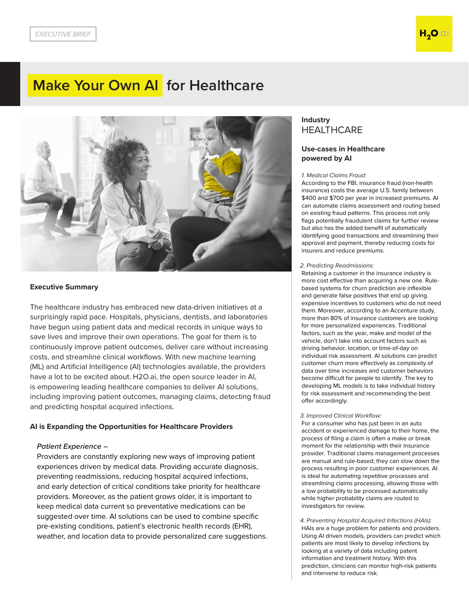# **Make Your Own AI for Healthcare**



### **Executive Summary**

The healthcare industry has embraced new data-driven initiatives at a surprisingly rapid pace. Hospitals, physicians, dentists, and laboratories have begun using patient data and medical records in unique ways to save lives and improve their own operations. The goal for them is to continuously improve patient outcomes, deliver care without increasing costs, and streamline clinical workflows. With new machine learning (ML) and Artificial Intelligence (AI) technologies available, the providers have a lot to be excited about. H2O.ai, the open source leader in AI, is empowering leading healthcare companies to deliver AI solutions, including improving patient outcomes, managing claims, detecting fraud and predicting hospital acquired infections.

#### **AI is Expanding the Opportunities for Healthcare Providers**

### *Patient Experience –*

Providers are constantly exploring new ways of improving patient experiences driven by medical data. Providing accurate diagnosis, preventing readmissions, reducing hospital acquired infections, and early detection of critical conditions take priority for healthcare providers. Moreover, as the patient grows older, it is important to keep medical data current so preventative medications can be suggested over time. AI solutions can be used to combine specific pre-existing conditions, patient's electronic health records (EHR), weather, and location data to provide personalized care suggestions.

# **Industry HEALTHCARE**

## **Use-cases in Healthcare powered by AI**

#### 1. Medical Claims Fraud*:*

According to the FBI, insurance fraud (non-health insurance) costs the average U.S. family between \$400 and \$700 per year in increased premiums. AI can automate claims assessment and routing based on existing fraud patterns. This process not only flags potentially fraudulent claims for further review but also has the added benefit of automatically identifying good transactions and streamlining their approval and payment, thereby reducing costs for insurers and reduce premiums.

#### 2. *Predicting Readmissions:*

Retaining a customer in the insurance industry is more cost effective than acquiring a new one. Rulebased systems for churn prediction are inflexible and generate false positives that end up giving expensive incentives to customers who do not need them. Moreover, according to an Accenture study, more than 80% of insurance customers are looking for more personalized experiences. Traditional factors, such as the year, make and model of the vehicle, don't take into account factors such as driving behavior, location, or time-of-day on individual risk assessment. AI solutions can predict customer churn more effectively as complexity of data over time increases and customer behaviors become difficult for people to identify. The key to developing ML models is to take individual history for risk assessment and recommending the best offer accordingly.

### 3. *Improved Clinical Workflow:*

For a consumer who has just been in an auto accident or experienced damage to their home, the process of filing a claim is often a make or break moment for the relationship with their insurance provider. Traditional claims management processes are manual and rule-based; they can slow down the process resulting in poor customer experiences. AI is ideal for automating repetitive processes and streamlining claims processing, allowing those with a low probability to be processed automatically while higher probability claims are routed to investigators for review.

4. *Preventing Hospital Acquired Infections (HAIs):* HAIs are a huge problem for patients and providers. Using AI driven models, providers can predict which patients are most likely to develop infections by looking at a variety of data including patent information and treatment history. With this prediction, clinicians can monitor high-risk patients and intervene to reduce risk.